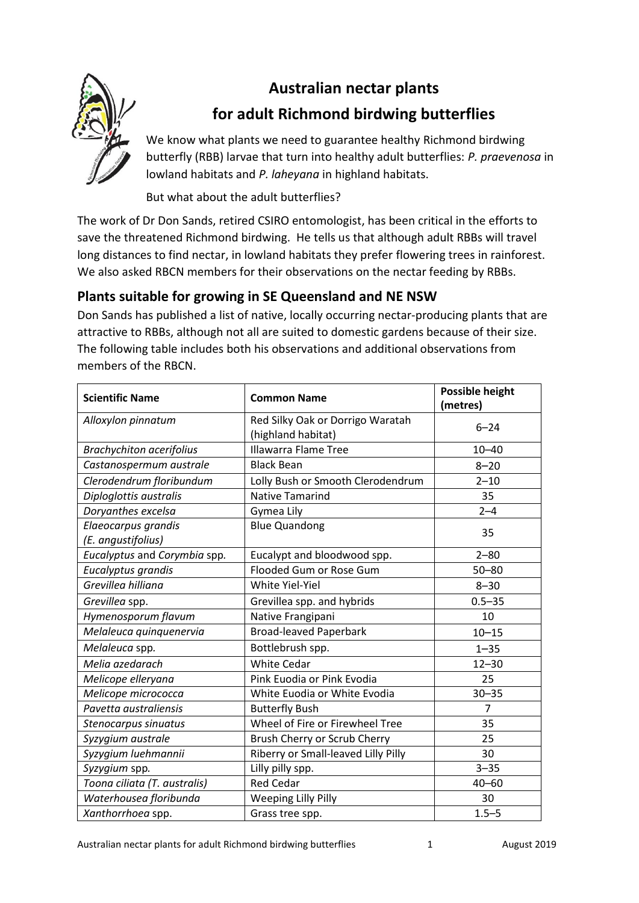# **Australian nectar plants**



## **for adult Richmond birdwing butterflies**

We know what plants we need to guarantee healthy Richmond birdwing butterfly (RBB) larvae that turn into healthy adult butterflies: *P. praevenosa* in lowland habitats and *P. laheyana* in highland habitats.

But what about the adult butterflies?

The work of Dr Don Sands, retired CSIRO entomologist, has been critical in the efforts to save the threatened Richmond birdwing. He tells us that although adult RBBs will travel long distances to find nectar, in lowland habitats they prefer flowering trees in rainforest. We also asked RBCN members for their observations on the nectar feeding by RBBs.

## **Plants suitable for growing in SE Queensland and NE NSW**

Don Sands has published a list of native, locally occurring nectar-producing plants that are attractive to RBBs, although not all are suited to domestic gardens because of their size. The following table includes both his observations and additional observations from members of the RBCN.

| <b>Scientific Name</b>                    | <b>Common Name</b>                                     | <b>Possible height</b><br>(metres) |
|-------------------------------------------|--------------------------------------------------------|------------------------------------|
| Alloxylon pinnatum                        | Red Silky Oak or Dorrigo Waratah<br>(highland habitat) | $6 - 24$                           |
| <b>Brachychiton acerifolius</b>           | <b>Illawarra Flame Tree</b>                            | $10 - 40$                          |
| Castanospermum australe                   | <b>Black Bean</b>                                      | $8 - 20$                           |
| Clerodendrum floribundum                  | Lolly Bush or Smooth Clerodendrum                      | $2 - 10$                           |
| Diploglottis australis                    | <b>Native Tamarind</b>                                 | 35                                 |
| Doryanthes excelsa                        | Gymea Lily                                             | $2 - 4$                            |
| Elaeocarpus grandis<br>(E. angustifolius) | <b>Blue Quandong</b>                                   | 35                                 |
| Eucalyptus and Corymbia spp.              | Eucalypt and bloodwood spp.                            | $2 - 80$                           |
| Eucalyptus grandis                        | Flooded Gum or Rose Gum                                | $50 - 80$                          |
| Grevillea hilliana                        | White Yiel-Yiel                                        | $8 - 30$                           |
| Grevillea spp.                            | Grevillea spp. and hybrids                             | $0.5 - 35$                         |
| Hymenosporum flavum                       | Native Frangipani                                      | 10                                 |
| Melaleuca quinquenervia                   | <b>Broad-leaved Paperbark</b>                          | $10 - 15$                          |
| Melaleuca spp.                            | Bottlebrush spp.                                       | $1 - 35$                           |
| Melia azedarach                           | White Cedar                                            | $12 - 30$                          |
| Melicope elleryana                        | Pink Euodia or Pink Evodia                             | 25                                 |
| Melicope micrococca                       | White Euodia or White Evodia                           | $30 - 35$                          |
| Pavetta australiensis                     | <b>Butterfly Bush</b>                                  | $\overline{7}$                     |
| Stenocarpus sinuatus                      | Wheel of Fire or Firewheel Tree                        | 35                                 |
| Syzygium australe                         | Brush Cherry or Scrub Cherry                           | 25                                 |
| Syzygium luehmannii                       | Riberry or Small-leaved Lilly Pilly                    | 30                                 |
| Syzygium spp.                             | Lilly pilly spp.                                       | $3 - 35$                           |
| Toona ciliata (T. australis)              | <b>Red Cedar</b>                                       | $40 - 60$                          |
| Waterhousea floribunda                    | <b>Weeping Lilly Pilly</b>                             | 30                                 |
| Xanthorrhoea spp.                         | Grass tree spp.                                        | $1.5 - 5$                          |

Australian nectar plants for adult Richmond birdwing butterflies 1 August 2019